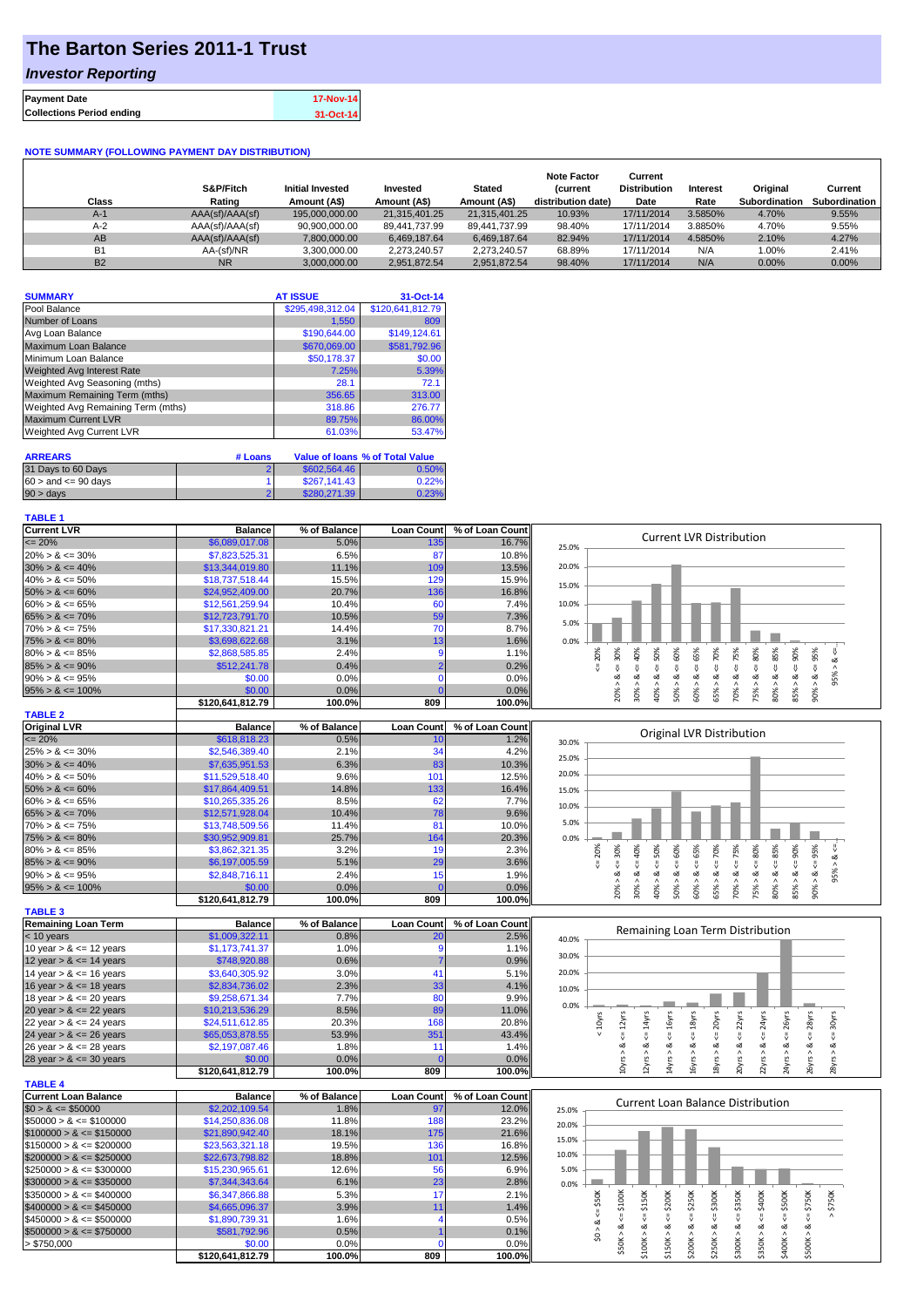## **The Barton Series 2011-1 Trust**

### *Investor Reporting*

|                                  | 17-Nov-14 |
|----------------------------------|-----------|
| <b>Collections Period ending</b> | 31-Oct-14 |

#### **NOTE SUMMARY (FOLLOWING PAYMENT DAY DISTRIBUTION)**

| Class     | S&P/Fitch<br>Rating | <b>Initial Invested</b><br>Amount (A\$) | Invested<br>Amount (A\$) | <b>Stated</b><br>Amount (A\$) | <b>Note Factor</b><br><b>Current</b><br>distribution date) | Current<br><b>Distribution</b><br>Date | Interest<br>Rate | Original<br>Subordination | Current<br>Subordination |
|-----------|---------------------|-----------------------------------------|--------------------------|-------------------------------|------------------------------------------------------------|----------------------------------------|------------------|---------------------------|--------------------------|
| $A-1$     | AAA(sf)/AAA(sf)     | 195,000,000,00                          | 21.315.401.25            | 21.315.401.25                 | 10.93%                                                     | 17/11/2014                             | 3.5850%          | 4.70%                     | 9.55%                    |
| $A-2$     | AAA(sf)/AAA(sf)     | 90.900.000.00                           | 89,441,737.99            | 89.441.737.99                 | 98.40%                                                     | 17/11/2014                             | 3.8850%          | 4.70%                     | 9.55%                    |
| AB        | AAA(sf)/AAA(sf)     | 7.800.000.00                            | 6.469.187.64             | 6.469.187.64                  | 82.94%                                                     | 17/11/2014                             | 4.5850%          | 2.10%                     | 4.27%                    |
| <b>B1</b> | AA-(sf)/NR          | 3.300.000.00                            | 2.273.240.57             | 2.273.240.57                  | 68.89%                                                     | 17/11/2014                             | N/A              | 1.00%                     | 2.41%                    |
| <b>B2</b> | <b>NR</b>           | 3.000.000.00                            | 2.951.872.54             | 2,951,872.54                  | 98.40%                                                     | 17/11/2014                             | N/A              | $0.00\%$                  | 0.00%                    |

| <b>SUMMARY</b>                     | <b>AT ISSUE</b>  | 31-Oct-14        |
|------------------------------------|------------------|------------------|
| Pool Balance                       | \$295,498,312.04 | \$120,641,812.79 |
| Number of Loans                    | 1,550            | 809              |
| Avg Loan Balance                   | \$190,644.00     | \$149,124.61     |
| Maximum Loan Balance               | \$670,069.00     | \$581,792.96     |
| Minimum Loan Balance               | \$50,178.37      | \$0.00           |
| <b>Weighted Avg Interest Rate</b>  | 7.25%            | 5.39%            |
| Weighted Avg Seasoning (mths)      | 28.1             | 72.1             |
| Maximum Remaining Term (mths)      | 356.65           | 313.00           |
| Weighted Avg Remaining Term (mths) | 318.86           | 276.77           |
| <b>Maximum Current LVR</b>         | 89.75%           | 86.00%           |
| Weighted Avg Current LVR           | 61.03%           | 53.47%           |

| <b>ARREARS</b>            | # Loans |              | Value of Ioans % of Total Value |
|---------------------------|---------|--------------|---------------------------------|
| 31 Days to 60 Days        |         | \$602,564.46 | 0.50%                           |
| $60 >$ and $\leq 90$ days |         | \$267.141.43 | 0.22%                           |
| $90 > \text{days}$        |         | \$280,271,39 | 0.23%                           |

#### **TABLE 1**

| <b>Current LVR</b>                                                                                                                                                                                                                                                  | <b>Balance</b>             | % of Balance   | <b>Loan Count</b>  | % of Loan Count | <b>Current LVR Distribution</b>                                                                                                                                            |
|---------------------------------------------------------------------------------------------------------------------------------------------------------------------------------------------------------------------------------------------------------------------|----------------------------|----------------|--------------------|-----------------|----------------------------------------------------------------------------------------------------------------------------------------------------------------------------|
| $= 20%$                                                                                                                                                                                                                                                             | \$6,089,017.08             | 5.0%           | 135                | 16.7%           | 25.0%                                                                                                                                                                      |
| $20\% > 8 \le 30\%$                                                                                                                                                                                                                                                 | \$7,823,525.31             | 6.5%           | 87                 | 10.8%           |                                                                                                                                                                            |
| $30\% > 8 \le 40\%$                                                                                                                                                                                                                                                 | \$13,344,019.80            | 11.1%          | 109                | 13.5%           | 20.0%                                                                                                                                                                      |
| $40\% > 8 \le 50\%$                                                                                                                                                                                                                                                 | \$18,737,518.44            | 15.5%          | 129                | 15.9%           |                                                                                                                                                                            |
| $50\% > 8 \le 60\%$                                                                                                                                                                                                                                                 | \$24,952,409.00            | 20.7%          | 136                | 16.8%           | 15.0%                                                                                                                                                                      |
| $60\% > 8 \le 65\%$                                                                                                                                                                                                                                                 | \$12,561,259.94            | 10.4%          | 60                 | 7.4%            | 10.0%                                                                                                                                                                      |
| $65\% > 8 \le 70\%$                                                                                                                                                                                                                                                 | \$12,723,791.70            | 10.5%          | 59                 | 7.3%            |                                                                                                                                                                            |
| $70\% > 8 \le 75\%$                                                                                                                                                                                                                                                 | \$17,330,821.21            | 14.4%          | 70                 | 8.7%            | 5.0%                                                                                                                                                                       |
| $75\% > 8 \le 80\%$                                                                                                                                                                                                                                                 | \$3,698,622.68             | 3.1%           | 13                 | 1.6%            | 0.0%                                                                                                                                                                       |
| $80\% > 8 \le 85\%$                                                                                                                                                                                                                                                 | \$2,868,585.85             | 2.4%           | $\overline{9}$     | 1.1%            | 60%<br>70%<br>80%<br>90%<br>v                                                                                                                                              |
| $85\% > 8 \le 90\%$                                                                                                                                                                                                                                                 | \$512,241.78               | 0.4%           |                    | 0.2%            | $<=50\%$<br>$<=65%$<br>$4 = 75%$<br>$\leq 85\%$<br>$<=$ 30%<br>40%<br>20%<br>95%                                                                                           |
|                                                                                                                                                                                                                                                                     |                            | 0.0%           | $\mathbf 0$        | 0.0%            | 95% > 8<br>V<br>쁬<br>₹<br>V<br>$\stackrel{\shortparallel}{\vee}$<br>જ<br>ಷ<br>ಷ<br>ಎ<br>ಷ<br>ಷ                                                                             |
| $90\% > 8 \le 95\%$                                                                                                                                                                                                                                                 | \$0.00                     |                |                    |                 | $80\% > 8$                                                                                                                                                                 |
| $95\% > 8 \le 100\%$                                                                                                                                                                                                                                                | \$0.00                     | 0.0%           | $\mathbf 0$        | 0.0%            | $90\% > 8 <=$<br>70% > 8<br>20% > 1<br>40% ><br>60% ><br>85% ><br>$30\%$ ><br>65% ><br>75% ><br>50% >                                                                      |
|                                                                                                                                                                                                                                                                     | \$120,641,812.79           | 100.0%         | 809                | 100.0%          |                                                                                                                                                                            |
| <b>TABLE 2</b>                                                                                                                                                                                                                                                      |                            |                |                    |                 |                                                                                                                                                                            |
| <b>Original LVR</b>                                                                                                                                                                                                                                                 | <b>Balance</b>             | % of Balance   | <b>Loan Count</b>  | % of Loan Count | <b>Original LVR Distribution</b>                                                                                                                                           |
| $= 20%$                                                                                                                                                                                                                                                             | \$618,818.23               | 0.5%           | 10                 | 1.2%            | 30.0%                                                                                                                                                                      |
| $25\% > 8 \le 30\%$                                                                                                                                                                                                                                                 | \$2,546,389.40             | 2.1%           | 34                 | 4.2%            | 25.0%                                                                                                                                                                      |
| $30\% > 8 \le 40\%$                                                                                                                                                                                                                                                 | \$7,635,951.53             | 6.3%           | 83                 | 10.3%           |                                                                                                                                                                            |
| $40\% > 8 \le 50\%$                                                                                                                                                                                                                                                 | \$11,529,518.40            | 9.6%           | 101                | 12.5%           | 20.0%                                                                                                                                                                      |
| $50\% > 8 \le 60\%$                                                                                                                                                                                                                                                 | \$17,864,409.51            | 14.8%          | 133                | 16.4%           | 15.0%                                                                                                                                                                      |
| $60\% > 8 \le 65\%$                                                                                                                                                                                                                                                 | \$10,265,335.26            | 8.5%           | 62                 | 7.7%            | 10.0%                                                                                                                                                                      |
| $65\% > 8 \le 70\%$                                                                                                                                                                                                                                                 | \$12,571,928.04            | 10.4%          | 78                 | 9.6%            |                                                                                                                                                                            |
| $70\% > 8 \le 75\%$                                                                                                                                                                                                                                                 | \$13,748,509.56            | 11.4%          | 81                 | 10.0%           | 5.0%                                                                                                                                                                       |
| $75\% > 8 \le 80\%$                                                                                                                                                                                                                                                 | \$30,952,909.81            | 25.7%          | 164                | 20.3%           | 0.0%                                                                                                                                                                       |
| $80\% > 8 \le 85\%$                                                                                                                                                                                                                                                 | \$3,862,321.35             | 3.2%           | 19                 | 2.3%            | 60%<br>80%<br>20%<br>70%                                                                                                                                                   |
| $85\% > 8 \le 90\%$                                                                                                                                                                                                                                                 | \$6,197,005.59             | 5.1%           | 29                 | 3.6%            | $80\% > 8 \leq 85\%$<br>$4 = 30%$<br>$<=50%$<br>$<=65%$<br>$4 = 75%$<br>$85\% > 8 <= 90\%$<br>$90\% > 8 \le 95\%$<br>40%<br>95% > 8 <<br>V<br>₹<br>V                       |
| $90\% > 8 \le 95\%$                                                                                                                                                                                                                                                 | \$2,848,716.11             | 2.4%           | 15                 | 1.9%            | $\dot{\infty}$<br>ઌ<br>$\dot{\infty}$<br>$\dot{\infty}$<br>ઌ                                                                                                               |
| $95\% > 8 \le 100\%$                                                                                                                                                                                                                                                | \$0.00                     | 0.0%           | C                  | 0.0%            | 70% > 8<br>40% ><br>20% ><br>$30\%$ ><br>60%<br>75%<br>50% ><br>65%                                                                                                        |
|                                                                                                                                                                                                                                                                     | \$120,641,812.79           | 100.0%         | 809                | 100.0%          |                                                                                                                                                                            |
| <b>TABLE 3</b>                                                                                                                                                                                                                                                      |                            |                |                    |                 |                                                                                                                                                                            |
| <b>Remaining Loan Term</b>                                                                                                                                                                                                                                          |                            |                |                    |                 |                                                                                                                                                                            |
|                                                                                                                                                                                                                                                                     |                            |                |                    |                 |                                                                                                                                                                            |
|                                                                                                                                                                                                                                                                     | <b>Balance</b>             | % of Balance   | <b>Loan Count</b>  | % of Loan Count | Remaining Loan Term Distribution                                                                                                                                           |
|                                                                                                                                                                                                                                                                     | \$1,009,322.11             | 0.8%           | 20                 | 2.5%            | 40.0%                                                                                                                                                                      |
| $<$ 10 years<br>10 year $> 8 \le 12$ years                                                                                                                                                                                                                          | \$1,173,741.37             | 1.0%           | 9                  | 1.1%            | 30.0%                                                                                                                                                                      |
| 12 year $> 8 \le 14$ years                                                                                                                                                                                                                                          | \$748,920.88               | 0.6%           |                    | 0.9%            |                                                                                                                                                                            |
| 14 year $> 8 \le 16$ years                                                                                                                                                                                                                                          | \$3,640,305.92             | 3.0%           | 41                 | 5.1%            | 20.0%                                                                                                                                                                      |
| 16 year $> 8 \le 18$ years                                                                                                                                                                                                                                          | \$2,834,736.02             | 2.3%           | 33                 | 4.1%            | 10.0%                                                                                                                                                                      |
|                                                                                                                                                                                                                                                                     | \$9,258,671.34             | 7.7%           | 80                 | 9.9%            |                                                                                                                                                                            |
| 18 year $> 8 \le 20$ years<br>20 year $> 8 \le 22$ years                                                                                                                                                                                                            | \$10,213,536.29            | 8.5%           | 89                 | 11.0%           | 0.0%                                                                                                                                                                       |
|                                                                                                                                                                                                                                                                     | \$24,511,612.85            | 20.3%          | 168                | 20.8%           |                                                                                                                                                                            |
|                                                                                                                                                                                                                                                                     | \$65,053,878.55            | 53.9%          | 351                | 43.4%           | $\leq 16$ yrs<br>$\leq$ = 20 $\gamma$ rs<br>$\leq$ = 22 $\gamma$ rs<br>$\leq$ = 26yrs<br>$\leq$ = 28yrs<br>$\leq$ = 14 $\gamma$ rs<br>$\leq$ = 18yrs<br>$< 10$ yrs         |
|                                                                                                                                                                                                                                                                     | \$2,197,087.46             | 1.8%           | 11                 | 1.4%            |                                                                                                                                                                            |
|                                                                                                                                                                                                                                                                     | \$0.00                     | 0.0%           |                    | 0.0%            |                                                                                                                                                                            |
|                                                                                                                                                                                                                                                                     | \$120,641,812.79           | 100.0%         | 809                | 100.0%          | $10yrs > 8c = 12yrs$<br>$22yrs > 8c = 24yrs$<br>$28yrs > 8c = 30yrs$<br>20yrs > 8<br>26yrs > 8<br>2yrs > 8<br>4yrs > 8<br>6yrs > 8<br>$-8yrs > 8$<br>24yrs > 8             |
| 22 year $> 8 \le 24$ years<br>24 year $> 8 \le 26$ years<br>26 year $> 8 \le 28$ years<br>28 year $> 8 \le 30$ years<br><b>TABLE 4</b>                                                                                                                              |                            |                |                    |                 |                                                                                                                                                                            |
|                                                                                                                                                                                                                                                                     | <b>Balance</b>             | % of Balance   | <b>Loan Count</b>  | % of Loan Count |                                                                                                                                                                            |
|                                                                                                                                                                                                                                                                     | \$2,202,109.54             | 1.8%           | 97                 | 12.0%           | <b>Current Loan Balance Distribution</b><br>25.0%                                                                                                                          |
|                                                                                                                                                                                                                                                                     | \$14,250,836.08            | 11.8%          | 188                | 23.2%           |                                                                                                                                                                            |
|                                                                                                                                                                                                                                                                     | \$21,890,942.40            | 18.1%          | 175                | 21.6%           | 20.0%                                                                                                                                                                      |
|                                                                                                                                                                                                                                                                     | \$23,563,321.18            | 19.5%          | 136                | 16.8%           | 15.0%                                                                                                                                                                      |
|                                                                                                                                                                                                                                                                     |                            |                |                    |                 | 10.0%                                                                                                                                                                      |
|                                                                                                                                                                                                                                                                     | \$22,673,798.82            | 18.8%          | 101                | 12.5%           |                                                                                                                                                                            |
|                                                                                                                                                                                                                                                                     | \$15,230,965.61            | 12.6%          | 56                 | 6.9%            | 5.0%                                                                                                                                                                       |
| $$300000 > 8 \leq $350000$                                                                                                                                                                                                                                          | \$7,344,343.64             | 6.1%           | 23                 | 2.8%            | 0.0%                                                                                                                                                                       |
|                                                                                                                                                                                                                                                                     | \$6,347,866.88             | 5.3%           | 17                 | 2.1%            |                                                                                                                                                                            |
| $$400000 > 8 \leq $450000$                                                                                                                                                                                                                                          | \$4,665,096.37             | 3.9%           | 11                 | 1.4%            | \$400K<br>> \$750K<br>$4 = $50K$                                                                                                                                           |
| <b>Current Loan Balance</b><br>$$0 > 8 \leq $50000$<br>$$50000 > 8 \le $100000$<br>$$100000 > 8 \leq $150000$<br>$$150000 > 8 \leq $200000$<br>$$200000 > 8 \leq $250000$<br>$$250000 > 8 \leq $300000$<br>$$350000 > 8 \leq $400000$<br>$$450000 > 8 \leq $500000$ | \$1,890,739.31             | 1.6%           | $\overline{4}$     | 0.5%            | $4 = $300K$<br>$4 = $350K$<br>$4 = $500K$<br>V<br>જ                                                                                                                        |
| $$500000 > 8 \leq $750000$                                                                                                                                                                                                                                          | \$581,792.96               | 0.5%           |                    | 0.1%            | \$0 > 8                                                                                                                                                                    |
| > \$750,000                                                                                                                                                                                                                                                         | \$0.00<br>\$120,641,812.79 | 0.0%<br>100.0% | $\mathbf 0$<br>809 | 0.0%<br>100.0%  | $$150K > 8 <= $200K$$<br>$$200K > 8 \le $250K$<br>$$50K > 8 <= $100K$<br>$$100K > 8 <= $150K$<br>$$500K > 8 <= $750K$<br>\$250K > 8<br>\$300K > 8<br>\$400K > 8<br>\$350K> |